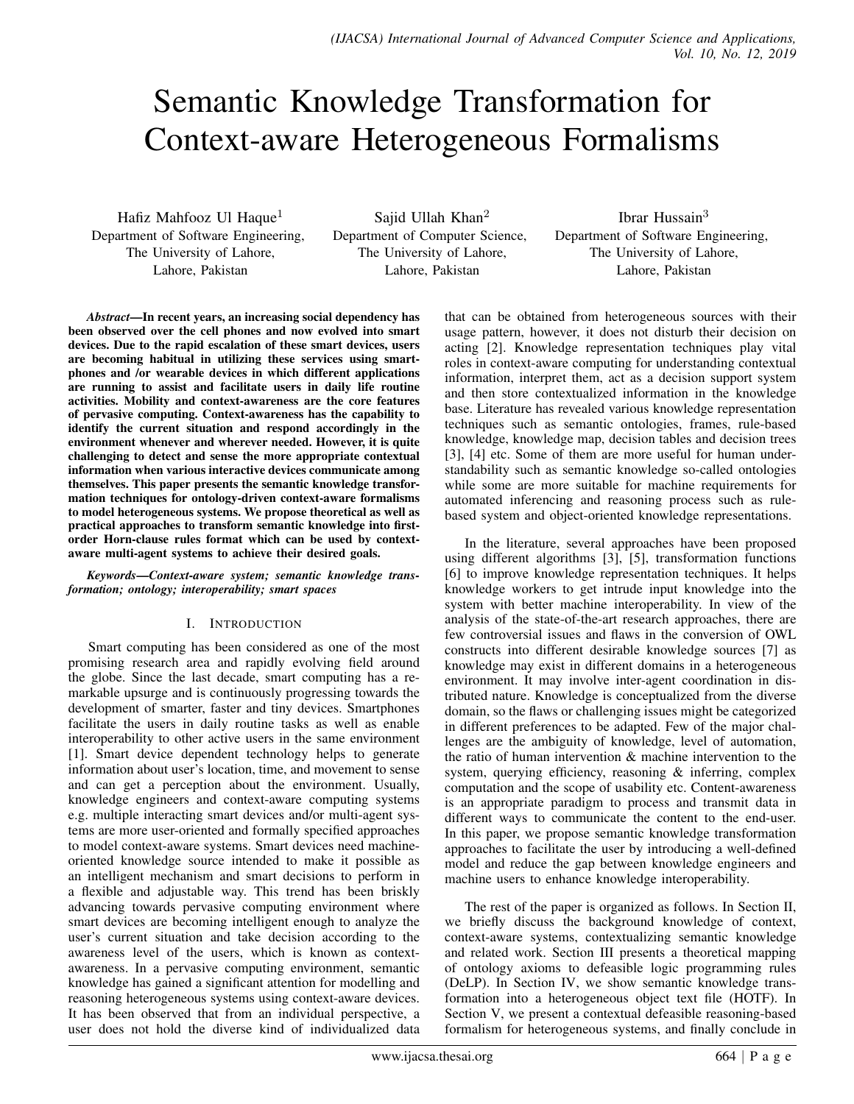# Semantic Knowledge Transformation for Context-aware Heterogeneous Formalisms

Hafiz Mahfooz Ul Haque<sup>1</sup> Department of Software Engineering, The University of Lahore, Lahore, Pakistan

Sajid Ullah Khan<sup>2</sup> Department of Computer Science, The University of Lahore, Lahore, Pakistan

Ibrar Hussain<sup>3</sup> Department of Software Engineering, The University of Lahore, Lahore, Pakistan

*Abstract*—In recent years, an increasing social dependency has been observed over the cell phones and now evolved into smart devices. Due to the rapid escalation of these smart devices, users are becoming habitual in utilizing these services using smartphones and /or wearable devices in which different applications are running to assist and facilitate users in daily life routine activities. Mobility and context-awareness are the core features of pervasive computing. Context-awareness has the capability to identify the current situation and respond accordingly in the environment whenever and wherever needed. However, it is quite challenging to detect and sense the more appropriate contextual information when various interactive devices communicate among themselves. This paper presents the semantic knowledge transformation techniques for ontology-driven context-aware formalisms to model heterogeneous systems. We propose theoretical as well as practical approaches to transform semantic knowledge into firstorder Horn-clause rules format which can be used by contextaware multi-agent systems to achieve their desired goals.

*Keywords*—*Context-aware system; semantic knowledge transformation; ontology; interoperability; smart spaces*

#### I. INTRODUCTION

Smart computing has been considered as one of the most promising research area and rapidly evolving field around the globe. Since the last decade, smart computing has a remarkable upsurge and is continuously progressing towards the development of smarter, faster and tiny devices. Smartphones facilitate the users in daily routine tasks as well as enable interoperability to other active users in the same environment [1]. Smart device dependent technology helps to generate information about user's location, time, and movement to sense and can get a perception about the environment. Usually, knowledge engineers and context-aware computing systems e.g. multiple interacting smart devices and/or multi-agent systems are more user-oriented and formally specified approaches to model context-aware systems. Smart devices need machineoriented knowledge source intended to make it possible as an intelligent mechanism and smart decisions to perform in a flexible and adjustable way. This trend has been briskly advancing towards pervasive computing environment where smart devices are becoming intelligent enough to analyze the user's current situation and take decision according to the awareness level of the users, which is known as contextawareness. In a pervasive computing environment, semantic knowledge has gained a significant attention for modelling and reasoning heterogeneous systems using context-aware devices. It has been observed that from an individual perspective, a user does not hold the diverse kind of individualized data that can be obtained from heterogeneous sources with their usage pattern, however, it does not disturb their decision on acting [2]. Knowledge representation techniques play vital roles in context-aware computing for understanding contextual information, interpret them, act as a decision support system and then store contextualized information in the knowledge base. Literature has revealed various knowledge representation techniques such as semantic ontologies, frames, rule-based knowledge, knowledge map, decision tables and decision trees [3], [4] etc. Some of them are more useful for human understandability such as semantic knowledge so-called ontologies while some are more suitable for machine requirements for automated inferencing and reasoning process such as rulebased system and object-oriented knowledge representations.

In the literature, several approaches have been proposed using different algorithms [3], [5], transformation functions [6] to improve knowledge representation techniques. It helps knowledge workers to get intrude input knowledge into the system with better machine interoperability. In view of the analysis of the state-of-the-art research approaches, there are few controversial issues and flaws in the conversion of OWL constructs into different desirable knowledge sources [7] as knowledge may exist in different domains in a heterogeneous environment. It may involve inter-agent coordination in distributed nature. Knowledge is conceptualized from the diverse domain, so the flaws or challenging issues might be categorized in different preferences to be adapted. Few of the major challenges are the ambiguity of knowledge, level of automation, the ratio of human intervention & machine intervention to the system, querying efficiency, reasoning & inferring, complex computation and the scope of usability etc. Content-awareness is an appropriate paradigm to process and transmit data in different ways to communicate the content to the end-user. In this paper, we propose semantic knowledge transformation approaches to facilitate the user by introducing a well-defined model and reduce the gap between knowledge engineers and machine users to enhance knowledge interoperability.

The rest of the paper is organized as follows. In Section II, we briefly discuss the background knowledge of context, context-aware systems, contextualizing semantic knowledge and related work. Section III presents a theoretical mapping of ontology axioms to defeasible logic programming rules (DeLP). In Section IV, we show semantic knowledge transformation into a heterogeneous object text file (HOTF). In Section V, we present a contextual defeasible reasoning-based formalism for heterogeneous systems, and finally conclude in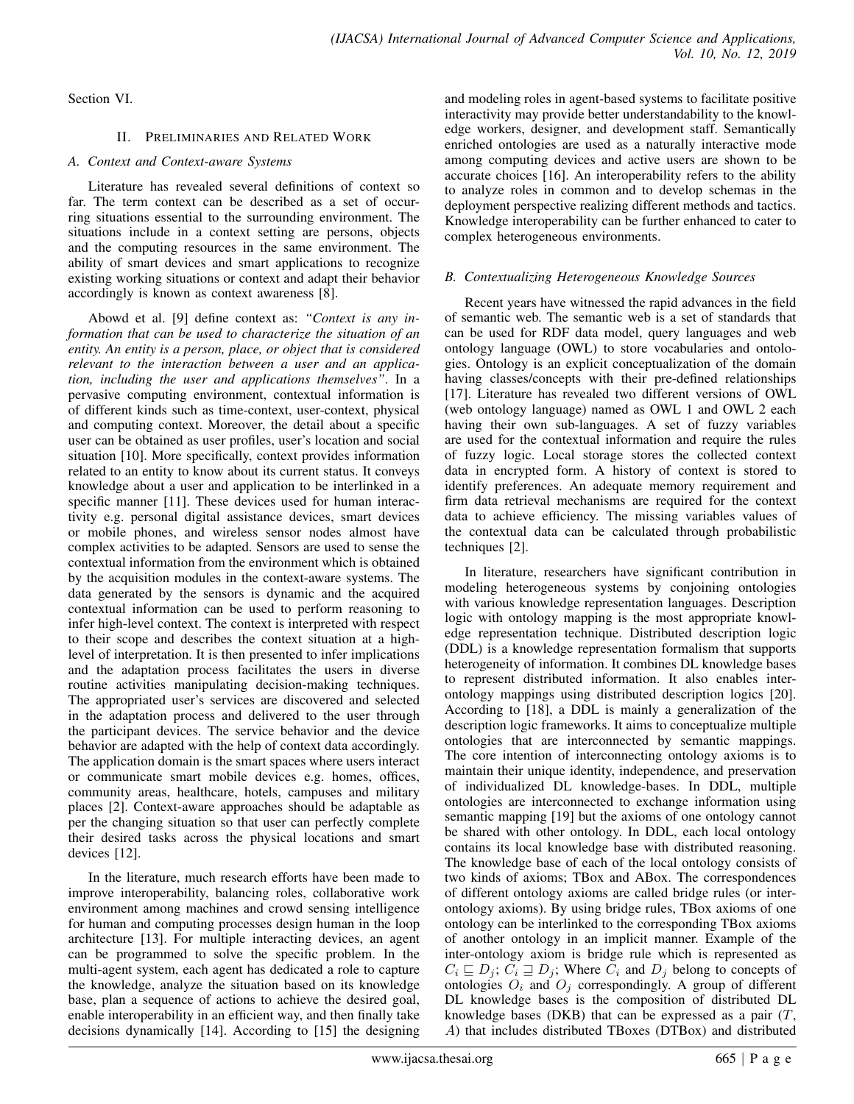Section VI.

### II. PRELIMINARIES AND RELATED WORK

## *A. Context and Context-aware Systems*

Literature has revealed several definitions of context so far. The term context can be described as a set of occurring situations essential to the surrounding environment. The situations include in a context setting are persons, objects and the computing resources in the same environment. The ability of smart devices and smart applications to recognize existing working situations or context and adapt their behavior accordingly is known as context awareness [8].

Abowd et al. [9] define context as: *"Context is any information that can be used to characterize the situation of an entity. An entity is a person, place, or object that is considered relevant to the interaction between a user and an application, including the user and applications themselves"*. In a pervasive computing environment, contextual information is of different kinds such as time-context, user-context, physical and computing context. Moreover, the detail about a specific user can be obtained as user profiles, user's location and social situation [10]. More specifically, context provides information related to an entity to know about its current status. It conveys knowledge about a user and application to be interlinked in a specific manner [11]. These devices used for human interactivity e.g. personal digital assistance devices, smart devices or mobile phones, and wireless sensor nodes almost have complex activities to be adapted. Sensors are used to sense the contextual information from the environment which is obtained by the acquisition modules in the context-aware systems. The data generated by the sensors is dynamic and the acquired contextual information can be used to perform reasoning to infer high-level context. The context is interpreted with respect to their scope and describes the context situation at a highlevel of interpretation. It is then presented to infer implications and the adaptation process facilitates the users in diverse routine activities manipulating decision-making techniques. The appropriated user's services are discovered and selected in the adaptation process and delivered to the user through the participant devices. The service behavior and the device behavior are adapted with the help of context data accordingly. The application domain is the smart spaces where users interact or communicate smart mobile devices e.g. homes, offices, community areas, healthcare, hotels, campuses and military places [2]. Context-aware approaches should be adaptable as per the changing situation so that user can perfectly complete their desired tasks across the physical locations and smart devices [12].

In the literature, much research efforts have been made to improve interoperability, balancing roles, collaborative work environment among machines and crowd sensing intelligence for human and computing processes design human in the loop architecture [13]. For multiple interacting devices, an agent can be programmed to solve the specific problem. In the multi-agent system, each agent has dedicated a role to capture the knowledge, analyze the situation based on its knowledge base, plan a sequence of actions to achieve the desired goal, enable interoperability in an efficient way, and then finally take decisions dynamically [14]. According to [15] the designing and modeling roles in agent-based systems to facilitate positive interactivity may provide better understandability to the knowledge workers, designer, and development staff. Semantically enriched ontologies are used as a naturally interactive mode among computing devices and active users are shown to be accurate choices [16]. An interoperability refers to the ability to analyze roles in common and to develop schemas in the deployment perspective realizing different methods and tactics. Knowledge interoperability can be further enhanced to cater to complex heterogeneous environments.

# *B. Contextualizing Heterogeneous Knowledge Sources*

Recent years have witnessed the rapid advances in the field of semantic web. The semantic web is a set of standards that can be used for RDF data model, query languages and web ontology language (OWL) to store vocabularies and ontologies. Ontology is an explicit conceptualization of the domain having classes/concepts with their pre-defined relationships [17]. Literature has revealed two different versions of OWL (web ontology language) named as OWL 1 and OWL 2 each having their own sub-languages. A set of fuzzy variables are used for the contextual information and require the rules of fuzzy logic. Local storage stores the collected context data in encrypted form. A history of context is stored to identify preferences. An adequate memory requirement and firm data retrieval mechanisms are required for the context data to achieve efficiency. The missing variables values of the contextual data can be calculated through probabilistic techniques [2].

In literature, researchers have significant contribution in modeling heterogeneous systems by conjoining ontologies with various knowledge representation languages. Description logic with ontology mapping is the most appropriate knowledge representation technique. Distributed description logic (DDL) is a knowledge representation formalism that supports heterogeneity of information. It combines DL knowledge bases to represent distributed information. It also enables interontology mappings using distributed description logics [20]. According to [18], a DDL is mainly a generalization of the description logic frameworks. It aims to conceptualize multiple ontologies that are interconnected by semantic mappings. The core intention of interconnecting ontology axioms is to maintain their unique identity, independence, and preservation of individualized DL knowledge-bases. In DDL, multiple ontologies are interconnected to exchange information using semantic mapping [19] but the axioms of one ontology cannot be shared with other ontology. In DDL, each local ontology contains its local knowledge base with distributed reasoning. The knowledge base of each of the local ontology consists of two kinds of axioms; TBox and ABox. The correspondences of different ontology axioms are called bridge rules (or interontology axioms). By using bridge rules, TBox axioms of one ontology can be interlinked to the corresponding TBox axioms of another ontology in an implicit manner. Example of the inter-ontology axiom is bridge rule which is represented as  $C_i \sqsubseteq D_j$ ;  $C_i \sqsupseteq D_j$ ; Where  $\overline{C_i}$  and  $D_j$  belong to concepts of ontologies  $O_i$  and  $O_j$  correspondingly. A group of different DL knowledge bases is the composition of distributed DL knowledge bases (DKB) that can be expressed as a pair  $(T, \mathcal{L})$ A) that includes distributed TBoxes (DTBox) and distributed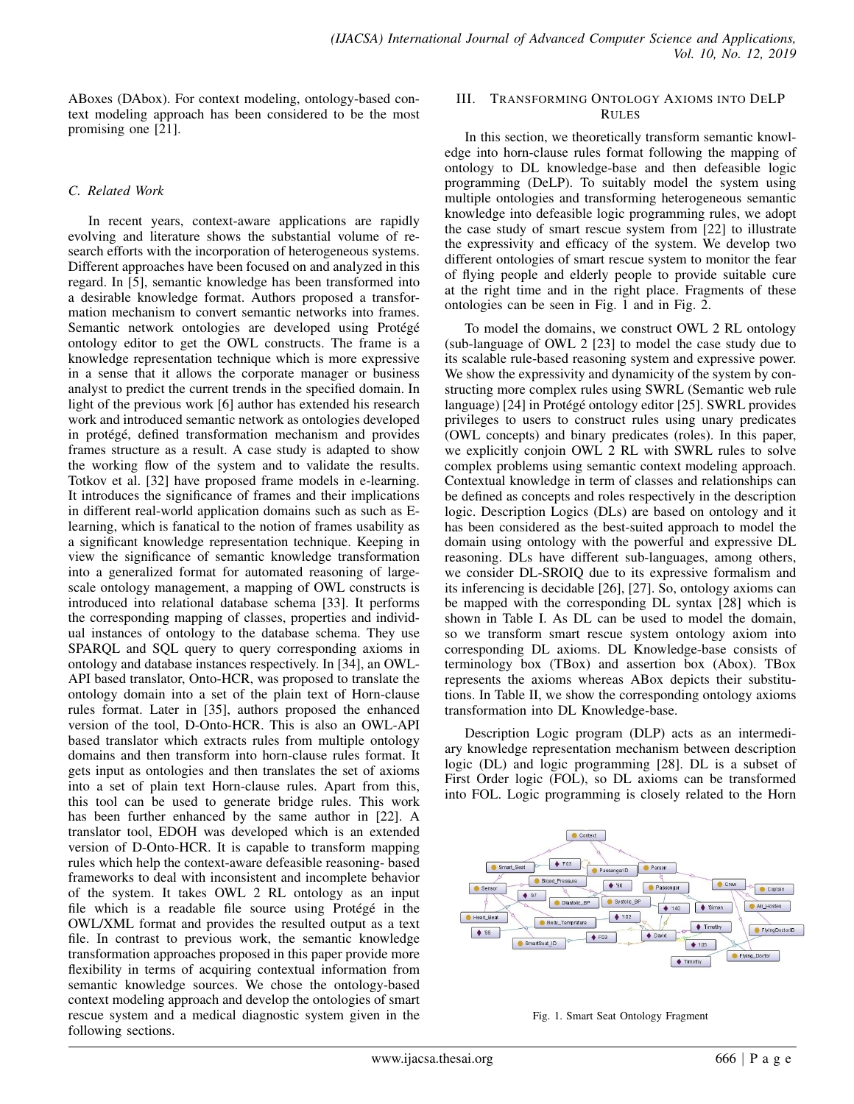ABoxes (DAbox). For context modeling, ontology-based context modeling approach has been considered to be the most promising one [21].

#### *C. Related Work*

In recent years, context-aware applications are rapidly evolving and literature shows the substantial volume of research efforts with the incorporation of heterogeneous systems. Different approaches have been focused on and analyzed in this regard. In [5], semantic knowledge has been transformed into a desirable knowledge format. Authors proposed a transformation mechanism to convert semantic networks into frames. Semantic network ontologies are developed using Protégé ontology editor to get the OWL constructs. The frame is a knowledge representation technique which is more expressive in a sense that it allows the corporate manager or business analyst to predict the current trends in the specified domain. In light of the previous work [6] author has extended his research work and introduced semantic network as ontologies developed in protégé, defined transformation mechanism and provides frames structure as a result. A case study is adapted to show the working flow of the system and to validate the results. Totkov et al. [32] have proposed frame models in e-learning. It introduces the significance of frames and their implications in different real-world application domains such as such as Elearning, which is fanatical to the notion of frames usability as a significant knowledge representation technique. Keeping in view the significance of semantic knowledge transformation into a generalized format for automated reasoning of largescale ontology management, a mapping of OWL constructs is introduced into relational database schema [33]. It performs the corresponding mapping of classes, properties and individual instances of ontology to the database schema. They use SPARQL and SQL query to query corresponding axioms in ontology and database instances respectively. In [34], an OWL-API based translator, Onto-HCR, was proposed to translate the ontology domain into a set of the plain text of Horn-clause rules format. Later in [35], authors proposed the enhanced version of the tool, D-Onto-HCR. This is also an OWL-API based translator which extracts rules from multiple ontology domains and then transform into horn-clause rules format. It gets input as ontologies and then translates the set of axioms into a set of plain text Horn-clause rules. Apart from this, this tool can be used to generate bridge rules. This work has been further enhanced by the same author in [22]. A translator tool, EDOH was developed which is an extended version of D-Onto-HCR. It is capable to transform mapping rules which help the context-aware defeasible reasoning- based frameworks to deal with inconsistent and incomplete behavior of the system. It takes OWL 2 RL ontology as an input file which is a readable file source using Protégé in the OWL/XML format and provides the resulted output as a text file. In contrast to previous work, the semantic knowledge transformation approaches proposed in this paper provide more flexibility in terms of acquiring contextual information from semantic knowledge sources. We chose the ontology-based context modeling approach and develop the ontologies of smart rescue system and a medical diagnostic system given in the following sections.

#### III. TRANSFORMING ONTOLOGY AXIOMS INTO DELP RULES

In this section, we theoretically transform semantic knowledge into horn-clause rules format following the mapping of ontology to DL knowledge-base and then defeasible logic programming (DeLP). To suitably model the system using multiple ontologies and transforming heterogeneous semantic knowledge into defeasible logic programming rules, we adopt the case study of smart rescue system from [22] to illustrate the expressivity and efficacy of the system. We develop two different ontologies of smart rescue system to monitor the fear of flying people and elderly people to provide suitable cure at the right time and in the right place. Fragments of these ontologies can be seen in Fig. 1 and in Fig. 2.

To model the domains, we construct OWL 2 RL ontology (sub-language of OWL 2 [23] to model the case study due to its scalable rule-based reasoning system and expressive power. We show the expressivity and dynamicity of the system by constructing more complex rules using SWRL (Semantic web rule language) [24] in Protégé ontology editor [25]. SWRL provides privileges to users to construct rules using unary predicates (OWL concepts) and binary predicates (roles). In this paper, we explicitly conjoin OWL 2 RL with SWRL rules to solve complex problems using semantic context modeling approach. Contextual knowledge in term of classes and relationships can be defined as concepts and roles respectively in the description logic. Description Logics (DLs) are based on ontology and it has been considered as the best-suited approach to model the domain using ontology with the powerful and expressive DL reasoning. DLs have different sub-languages, among others, we consider DL-SROIQ due to its expressive formalism and its inferencing is decidable [26], [27]. So, ontology axioms can be mapped with the corresponding DL syntax [28] which is shown in Table I. As DL can be used to model the domain, so we transform smart rescue system ontology axiom into corresponding DL axioms. DL Knowledge-base consists of terminology box (TBox) and assertion box (Abox). TBox represents the axioms whereas ABox depicts their substitutions. In Table II, we show the corresponding ontology axioms transformation into DL Knowledge-base.

Description Logic program (DLP) acts as an intermediary knowledge representation mechanism between description logic (DL) and logic programming [28]. DL is a subset of First Order logic (FOL), so DL axioms can be transformed into FOL. Logic programming is closely related to the Horn



Fig. 1. Smart Seat Ontology Fragment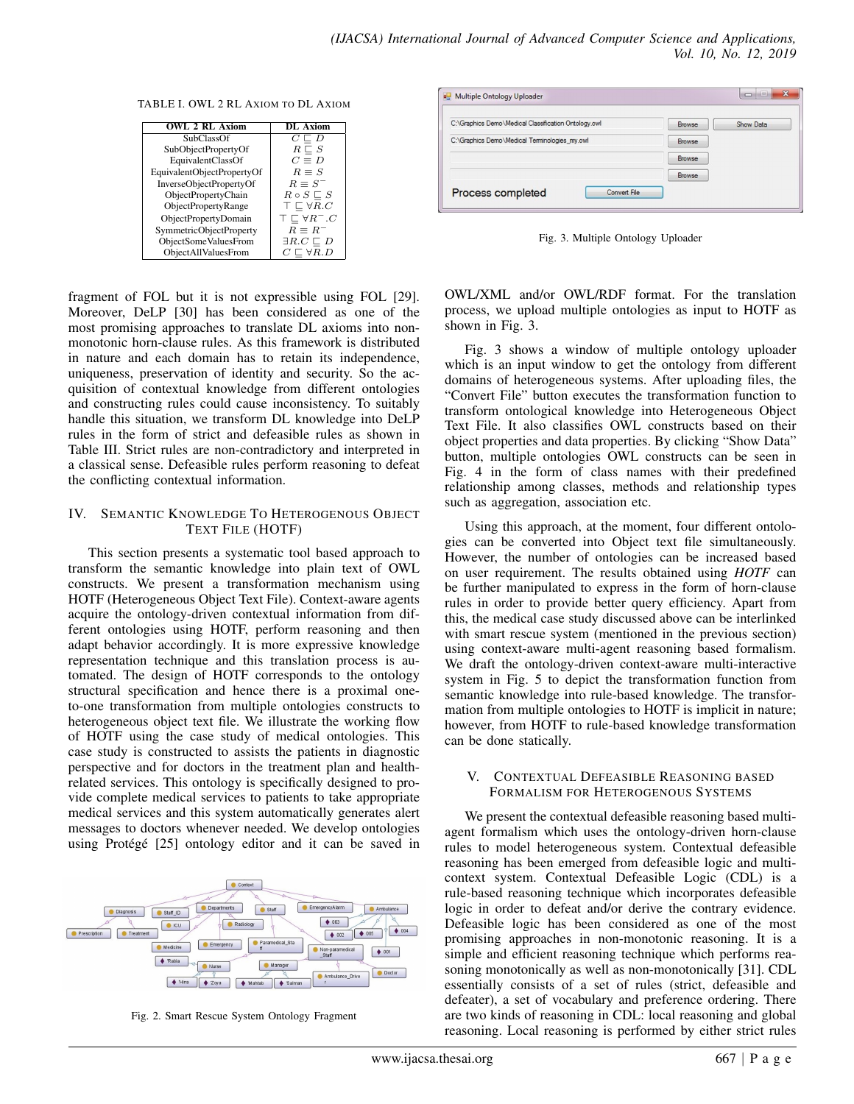TABLE I. OWL 2 RL AXIOM TO DL AXIOM

| <b>OWL 2 RL Axiom</b>      | DL Axiom                         |
|----------------------------|----------------------------------|
| <b>SubClassOf</b>          | $C \sqsubseteq D$                |
| SubObjectPropertyOf        | $R \sqsubseteq S$                |
| EquivalentClassOf          | $C \equiv D$                     |
| EquivalentObjectPropertyOf | $R = S$                          |
| InverseObjectPropertyOf    | $R \equiv S^{-}$                 |
| ObjectPropertyChain        | $R \circ S \sqsubseteq S$        |
| ObjectPropertyRange        | $\top \sqsubset \forall R.C$     |
| ObjectPropertyDomain       | $\top \sqsubset \forall R^- . C$ |
| SymmetricObjectProperty    | $R \equiv R^{-}$                 |
| ObjectSomeValuesFrom       | $\exists R.C \sqsubseteq D$      |
| ObjectAllValuesFrom        | $C \sqsubset \forall R.D$        |

fragment of FOL but it is not expressible using FOL [29]. Moreover, DeLP [30] has been considered as one of the most promising approaches to translate DL axioms into nonmonotonic horn-clause rules. As this framework is distributed in nature and each domain has to retain its independence, uniqueness, preservation of identity and security. So the acquisition of contextual knowledge from different ontologies and constructing rules could cause inconsistency. To suitably handle this situation, we transform DL knowledge into DeLP rules in the form of strict and defeasible rules as shown in Table III. Strict rules are non-contradictory and interpreted in a classical sense. Defeasible rules perform reasoning to defeat the conflicting contextual information.

#### IV. SEMANTIC KNOWLEDGE TO HETEROGENOUS OBJECT TEXT FILE (HOTF)

This section presents a systematic tool based approach to transform the semantic knowledge into plain text of OWL constructs. We present a transformation mechanism using HOTF (Heterogeneous Object Text File). Context-aware agents acquire the ontology-driven contextual information from different ontologies using HOTF, perform reasoning and then adapt behavior accordingly. It is more expressive knowledge representation technique and this translation process is automated. The design of HOTF corresponds to the ontology structural specification and hence there is a proximal oneto-one transformation from multiple ontologies constructs to heterogeneous object text file. We illustrate the working flow of HOTF using the case study of medical ontologies. This case study is constructed to assists the patients in diagnostic perspective and for doctors in the treatment plan and healthrelated services. This ontology is specifically designed to provide complete medical services to patients to take appropriate medical services and this system automatically generates alert messages to doctors whenever needed. We develop ontologies using Protégé [25] ontology editor and it can be saved in



Fig. 2. Smart Rescue System Ontology Fragment



Fig. 3. Multiple Ontology Uploader

OWL/XML and/or OWL/RDF format. For the translation process, we upload multiple ontologies as input to HOTF as shown in Fig. 3.

Fig. 3 shows a window of multiple ontology uploader which is an input window to get the ontology from different domains of heterogeneous systems. After uploading files, the "Convert File" button executes the transformation function to transform ontological knowledge into Heterogeneous Object Text File. It also classifies OWL constructs based on their object properties and data properties. By clicking "Show Data" button, multiple ontologies OWL constructs can be seen in Fig. 4 in the form of class names with their predefined relationship among classes, methods and relationship types such as aggregation, association etc.

Using this approach, at the moment, four different ontologies can be converted into Object text file simultaneously. However, the number of ontologies can be increased based on user requirement. The results obtained using *HOTF* can be further manipulated to express in the form of horn-clause rules in order to provide better query efficiency. Apart from this, the medical case study discussed above can be interlinked with smart rescue system (mentioned in the previous section) using context-aware multi-agent reasoning based formalism. We draft the ontology-driven context-aware multi-interactive system in Fig. 5 to depict the transformation function from semantic knowledge into rule-based knowledge. The transformation from multiple ontologies to HOTF is implicit in nature; however, from HOTF to rule-based knowledge transformation can be done statically.

#### V. CONTEXTUAL DEFEASIBLE REASONING BASED FORMALISM FOR HETEROGENOUS SYSTEMS

We present the contextual defeasible reasoning based multiagent formalism which uses the ontology-driven horn-clause rules to model heterogeneous system. Contextual defeasible reasoning has been emerged from defeasible logic and multicontext system. Contextual Defeasible Logic (CDL) is a rule-based reasoning technique which incorporates defeasible logic in order to defeat and/or derive the contrary evidence. Defeasible logic has been considered as one of the most promising approaches in non-monotonic reasoning. It is a simple and efficient reasoning technique which performs reasoning monotonically as well as non-monotonically [31]. CDL essentially consists of a set of rules (strict, defeasible and defeater), a set of vocabulary and preference ordering. There are two kinds of reasoning in CDL: local reasoning and global reasoning. Local reasoning is performed by either strict rules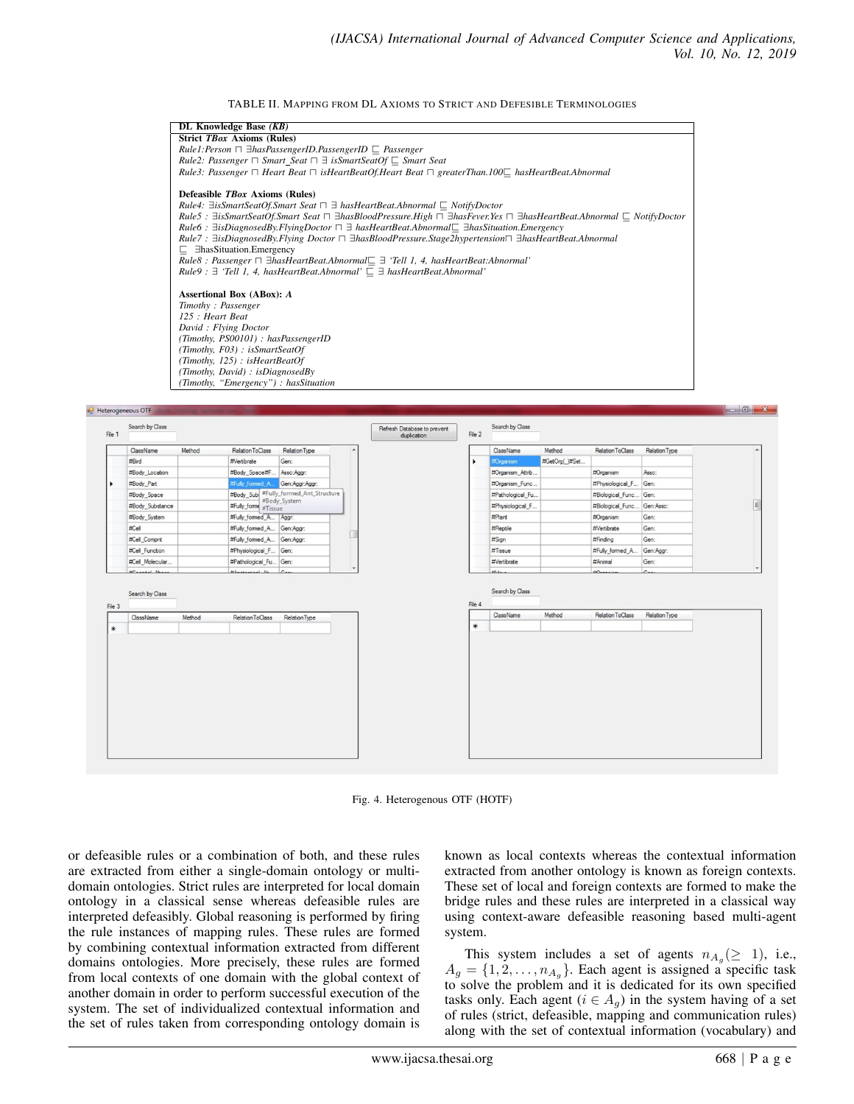TABLE II. MAPPING FROM DL AXIOMS TO STRICT AND DEFESIBLE TERMINOLOGIES





Fig. 4. Heterogenous OTF (HOTF)

or defeasible rules or a combination of both, and these rules are extracted from either a single-domain ontology or multidomain ontologies. Strict rules are interpreted for local domain ontology in a classical sense whereas defeasible rules are interpreted defeasibly. Global reasoning is performed by firing the rule instances of mapping rules. These rules are formed by combining contextual information extracted from different domains ontologies. More precisely, these rules are formed from local contexts of one domain with the global context of another domain in order to perform successful execution of the system. The set of individualized contextual information and the set of rules taken from corresponding ontology domain is

known as local contexts whereas the contextual information extracted from another ontology is known as foreign contexts. These set of local and foreign contexts are formed to make the bridge rules and these rules are interpreted in a classical way using context-aware defeasible reasoning based multi-agent system.

This system includes a set of agents  $n_{A_g}(\geq 1)$ , i.e.,  $A_g = \{1, 2, \dots, n_{A_g}\}.$  Each agent is assigned a specific task to solve the problem and it is dedicated for its own specified tasks only. Each agent ( $i \in A_q$ ) in the system having of a set of rules (strict, defeasible, mapping and communication rules) along with the set of contextual information (vocabulary) and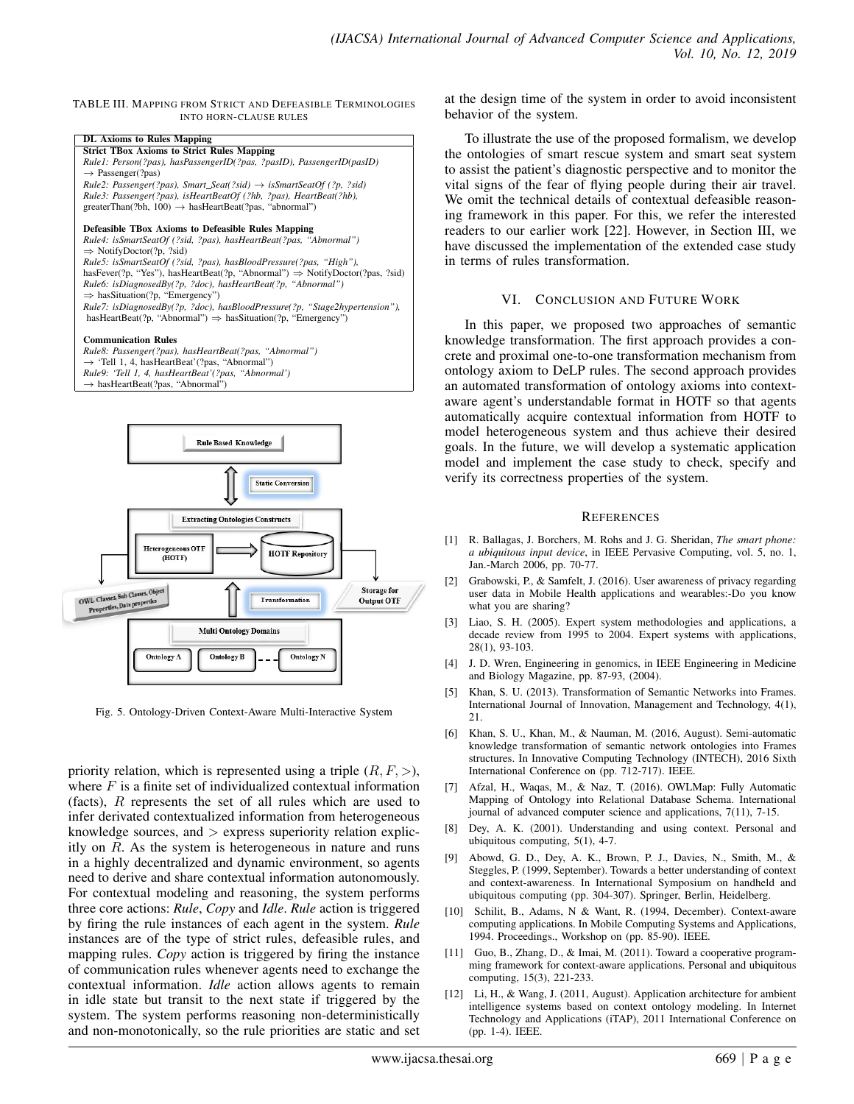TABLE III. MAPPING FROM STRICT AND DEFEASIBLE TERMINOLOGIES INTO HORN-CLAUSE RULES



→ hasHeartBeat(?pas, "Abnormal")



Fig. 5. Ontology-Driven Context-Aware Multi-Interactive System

priority relation, which is represented using a triple  $(R, F, >)$ , where  $F$  is a finite set of individualized contextual information (facts), R represents the set of all rules which are used to infer derivated contextualized information from heterogeneous knowledge sources, and  $>$  express superiority relation explicitly on  $R$ . As the system is heterogeneous in nature and runs in a highly decentralized and dynamic environment, so agents need to derive and share contextual information autonomously. For contextual modeling and reasoning, the system performs three core actions: *Rule*, *Copy* and *Idle*. *Rule* action is triggered by firing the rule instances of each agent in the system. *Rule* instances are of the type of strict rules, defeasible rules, and mapping rules. *Copy* action is triggered by firing the instance of communication rules whenever agents need to exchange the contextual information. *Idle* action allows agents to remain in idle state but transit to the next state if triggered by the system. The system performs reasoning non-deterministically and non-monotonically, so the rule priorities are static and set at the design time of the system in order to avoid inconsistent behavior of the system.

To illustrate the use of the proposed formalism, we develop the ontologies of smart rescue system and smart seat system to assist the patient's diagnostic perspective and to monitor the vital signs of the fear of flying people during their air travel. We omit the technical details of contextual defeasible reasoning framework in this paper. For this, we refer the interested readers to our earlier work [22]. However, in Section III, we have discussed the implementation of the extended case study in terms of rules transformation.

# VI. CONCLUSION AND FUTURE WORK

In this paper, we proposed two approaches of semantic knowledge transformation. The first approach provides a concrete and proximal one-to-one transformation mechanism from ontology axiom to DeLP rules. The second approach provides an automated transformation of ontology axioms into contextaware agent's understandable format in HOTF so that agents automatically acquire contextual information from HOTF to model heterogeneous system and thus achieve their desired goals. In the future, we will develop a systematic application model and implement the case study to check, specify and verify its correctness properties of the system.

#### **REFERENCES**

- [1] R. Ballagas, J. Borchers, M. Rohs and J. G. Sheridan, *The smart phone: a ubiquitous input device*, in IEEE Pervasive Computing, vol. 5, no. 1, Jan.-March 2006, pp. 70-77.
- [2] Grabowski, P., & Samfelt, J. (2016). User awareness of privacy regarding user data in Mobile Health applications and wearables:-Do you know what you are sharing?
- [3] Liao, S. H. (2005). Expert system methodologies and applications, a decade review from 1995 to 2004. Expert systems with applications, 28(1), 93-103.
- [4] J. D. Wren, Engineering in genomics, in IEEE Engineering in Medicine and Biology Magazine, pp. 87-93, (2004).
- [5] Khan, S. U. (2013). Transformation of Semantic Networks into Frames. International Journal of Innovation, Management and Technology, 4(1), 21.
- [6] Khan, S. U., Khan, M., & Nauman, M. (2016, August). Semi-automatic knowledge transformation of semantic network ontologies into Frames structures. In Innovative Computing Technology (INTECH), 2016 Sixth International Conference on (pp. 712-717). IEEE.
- [7] Afzal, H., Waqas, M., & Naz, T. (2016). OWLMap: Fully Automatic Mapping of Ontology into Relational Database Schema. International journal of advanced computer science and applications, 7(11), 7-15.
- [8] Dey, A. K. (2001). Understanding and using context. Personal and ubiquitous computing, 5(1), 4-7.
- [9] Abowd, G. D., Dey, A. K., Brown, P. J., Davies, N., Smith, M., & Steggles, P. (1999, September). Towards a better understanding of context and context-awareness. In International Symposium on handheld and ubiquitous computing (pp. 304-307). Springer, Berlin, Heidelberg.
- [10] Schilit, B., Adams, N & Want, R. (1994, December). Context-aware computing applications. In Mobile Computing Systems and Applications, 1994. Proceedings., Workshop on (pp. 85-90). IEEE.
- [11] Guo, B., Zhang, D., & Imai, M. (2011). Toward a cooperative programming framework for context-aware applications. Personal and ubiquitous computing, 15(3), 221-233.
- [12] Li, H., & Wang, J. (2011, August). Application architecture for ambient intelligence systems based on context ontology modeling. In Internet Technology and Applications (iTAP), 2011 International Conference on (pp. 1-4). IEEE.